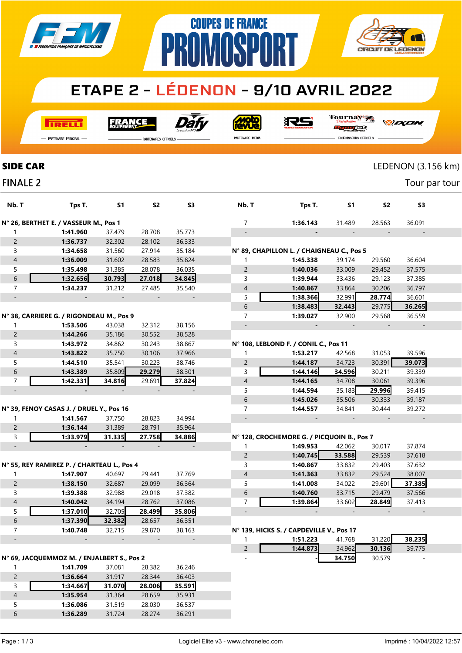

### **ETAPE 2 - LÉDENON - 9/10 AVRIL 2022**

**COUPES DE FRANCE** 

**TRELLI** 

Dáfy **FRANCE** 

**Moto** 

RS

Tournay ng ng se

*DELEN* 

**CV** 

PARTENAIRES OFFICIELS

P

PARTENAIRE MEDIA

**FOURNISSEURS OFFICIELS** 

**CIRCUIT DE LEDENON** 

| <b>SIDE CAR</b>                       |                                            |           |                |                |                |                                            |        | LEDENON (3.156 km) |                |  |
|---------------------------------------|--------------------------------------------|-----------|----------------|----------------|----------------|--------------------------------------------|--------|--------------------|----------------|--|
| <b>FINALE 2</b>                       |                                            |           |                |                |                |                                            |        |                    | Tour par tour  |  |
| Nb. T                                 | Tps T.                                     | <b>S1</b> | S <sub>2</sub> | S <sub>3</sub> | Nb. T          | Tps T.                                     | S1     | S <sub>2</sub>     | S <sub>3</sub> |  |
| N° 26, BERTHET E. / VASSEUR M., Pos 1 |                                            |           |                |                | 7              | 1:36.143                                   | 31.489 | 28.563             | 36.091         |  |
| 1                                     | 1:41.960                                   | 37.479    | 28.708         | 35.773         |                |                                            |        |                    |                |  |
| $\overline{c}$                        | 1:36.737                                   | 32.302    | 28.102         | 36.333         |                |                                            |        |                    |                |  |
| 3                                     | 1:34.658                                   | 31.560    | 27.914         | 35.184         |                | N° 89, CHAPILLON L. / CHAIGNEAU C., Pos 5  |        |                    |                |  |
| $\sqrt{4}$                            | 1:36.009                                   | 31.602    | 28.583         | 35.824         | 1              | 1:45.338                                   | 39.174 | 29.560             | 36.604         |  |
| 5                                     | 1:35.498                                   | 31.385    | 28.078         | 36.035         | $\overline{c}$ | 1:40.036                                   | 33.009 | 29.452             | 37.575         |  |
| $\boldsymbol{6}$                      | 1:32.656                                   | 30.793    | 27.018         | 34.845         | 3              | 1:39.944                                   | 33.436 | 29.123             | 37.385         |  |
| $\overline{7}$                        | 1:34.237                                   | 31.212    | 27.485         | 35.540         | $\overline{A}$ | 1:40.867                                   | 33.864 | 30.206             | 36.797         |  |
|                                       |                                            |           |                |                | 5              | 1:38.366                                   | 32.991 | 28.774             | 36.601         |  |
|                                       |                                            |           |                |                | 6              | 1:38.483                                   | 32.443 | 29.775             | 36.265         |  |
|                                       | N° 38, CARRIERE G. / RIGONDEAU M., Pos 9   |           |                |                | 7              | 1:39.027                                   | 32.900 | 29.568             | 36.559         |  |
| 1                                     | 1:53.506                                   | 43.038    | 32.312         | 38.156         |                |                                            |        |                    |                |  |
| $\overline{c}$                        | 1:44.266                                   | 35.186    | 30.552         | 38.528         |                |                                            |        |                    |                |  |
| 3                                     | 1:43.972                                   | 34.862    | 30.243         | 38.867         |                | N° 108, LEBLOND F. / CONIL C., Pos 11      |        |                    |                |  |
| $\sqrt{4}$                            | 1:43.822                                   | 35.750    | 30.106         | 37.966         | 1              | 1:53.217                                   | 42.568 | 31.053             | 39.596         |  |
| 5                                     | 1:44.510                                   | 35.541    | 30.223         | 38.746         | $\overline{c}$ | 1:44.187                                   | 34.723 | 30.391             | 39.073         |  |
| $\boldsymbol{6}$                      | 1:43.389                                   | 35.809    | 29.279         | 38.301         | 3              | 1:44.146                                   | 34.596 | 30.211             | 39.339         |  |
| $\overline{7}$                        | 1:42.331                                   | 34.816    | 29.691         | 37.824         | $\sqrt{4}$     | 1:44.165                                   | 34.708 | 30.061             | 39.396         |  |
| $\overline{\phantom{a}}$              |                                            |           |                |                | 5              | 1:44.594                                   | 35.183 | 29.996             | 39.415         |  |
|                                       |                                            |           |                |                | 6              | 1:45.026                                   | 35.506 | 30.333             | 39.187         |  |
|                                       | N° 39, FENOY CASAS J. / DRUEL Y., Pos 16   |           |                |                | 7              | 1:44.557                                   | 34.841 | 30.444             | 39.272         |  |
| 1                                     | 1:41.567                                   | 37.750    | 28.823         | 34.994         |                |                                            |        |                    |                |  |
| $\overline{c}$                        | 1:36.144                                   | 31.389    | 28.791         | 35.964         |                |                                            |        |                    |                |  |
| 3                                     | 1:33.979                                   | 31.335    | 27.758         | 34.886         |                | N° 128, CROCHEMORE G. / PICQUOIN B., Pos 7 |        |                    |                |  |
| $\overline{\phantom{a}}$              |                                            |           |                |                | 1              | 1:49.953                                   | 42.062 | 30.017             | 37.874         |  |
|                                       |                                            |           |                |                | $\mathsf{2}\,$ | 1:40.745                                   | 33.588 | 29.539             | 37.618         |  |
|                                       | N° 55, REY RAMIREZ P. / CHARTEAU L., Pos 4 |           |                |                | 3              | 1:40.867                                   | 33.832 | 29.403             | 37.632         |  |
| 1                                     | 1:47.907                                   | 40.697    | 29.441         | 37.769         | 4              | 1:41.363                                   | 33.832 | 29.524             | 38.007         |  |
| $\overline{c}$                        | 1:38.150                                   | 32.687    | 29.099         | 36.364         | 5              | 1:41.008                                   | 34.022 | 29.601             | 37.385         |  |
| 3                                     | 1:39.388                                   | 32.988    | 29.018         | 37.382         | 6              | 1:40.760                                   | 33.715 | 29.479             | 37.566         |  |
| $\overline{4}$                        | 1:40.042                                   | 34.194    | 28.762         | 37.086         | 7              | 1:39.864                                   | 33.602 | 28.849             | 37.413         |  |
| 5                                     | 1:37.010                                   | 32.705    | 28.499         | 35.806         |                |                                            |        |                    |                |  |
| $\,$ 6 $\,$                           | 1:37.390                                   | 32.382    | 28.657         | 36.351         |                |                                            |        |                    |                |  |
| $\overline{7}$                        | 1:40.748                                   | 32.715    | 29.870         | 38.163         |                | N° 139, HICKS S. / CAPDEVILLE V., Pos 17   |        |                    |                |  |
|                                       |                                            |           |                |                | 1              | 1:51.223                                   | 41.768 | 31.220             | 38.235         |  |
|                                       |                                            |           |                |                | $\overline{c}$ | 1:44.873                                   | 34.962 | 30.136             | 39.775         |  |
|                                       | N° 69, JACQUEMMOZ M. / ENJALBERT S., Pos 2 |           |                |                |                |                                            | 34.750 | 30.579             |                |  |
| 1                                     | 1:41.709                                   | 37.081    | 28.382         | 36.246         |                |                                            |        |                    |                |  |
| $\overline{c}$                        | 1:36.664                                   | 31.917    | 28.344         | 36.403         |                |                                            |        |                    |                |  |
| 3                                     | 1:34.667                                   | 31.070    | 28.006         | 35.591         |                |                                            |        |                    |                |  |
| $\overline{4}$                        | 1:35.954                                   | 31.364    | 28.659         | 35.931         |                |                                            |        |                    |                |  |
| 5                                     | 1:36.086                                   | 31.519    | 28.030         | 36.537         |                |                                            |        |                    |                |  |
| $\,$ 6 $\,$                           | 1:36.289                                   | 31.724    | 28.274         | 36.291         |                |                                            |        |                    |                |  |
|                                       |                                            |           |                |                |                |                                            |        |                    |                |  |

## **FINALE**

Page : 1 / 3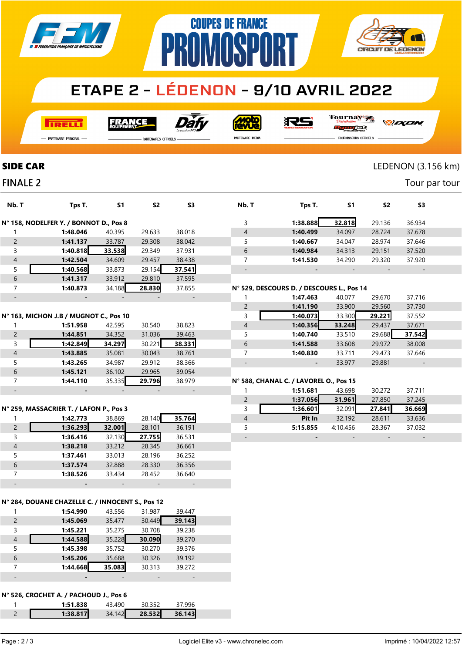

# P



### **ETAPE 2 - LÉDENON - 9/10 AVRIL 2022**

**COUPES DE FRANCE** 

**I तत्वच**र्च

Dài **FRANCE** 

**Moto** 

RS

Tournay

— Partenaire Principal

**FINALE 2** 

PARTENAIRES OFFICIELS

PARTENAIRE MEDIA

*DEXEN* 

n<del>g ng ja</del>t **FOURNISSEURS OFFICIELS** 

#### SIDE CAR LEDENON (3.156 km)

Tour par tour

| Nb. T                    | Tps T.                                           | <b>S1</b> | S <sub>2</sub>               | S3                       | Nb. T                    | Tps T.                                    | <b>S1</b> | S <sub>2</sub> | S <sub>3</sub> |  |
|--------------------------|--------------------------------------------------|-----------|------------------------------|--------------------------|--------------------------|-------------------------------------------|-----------|----------------|----------------|--|
|                          |                                                  |           |                              |                          |                          |                                           |           |                |                |  |
|                          | N° 158, NODELFER Y. / BONNOT D., Pos 8           |           |                              |                          | 3                        | 1:38.888                                  | 32.818    | 29.136         | 36.934         |  |
| 1                        | 1:48.046                                         | 40.395    | 29.633                       | 38.018                   | $\overline{\mathcal{A}}$ | 1:40.499                                  | 34.097    | 28.724         | 37.678         |  |
| $\overline{c}$           | 1:41.137                                         | 33.787    | 29.308                       | 38.042                   | 5                        | 1:40.667                                  | 34.047    | 28.974         | 37.646         |  |
| $\mathsf{3}$             | 1:40.818                                         | 33.538    | 29.349                       | 37.931                   | $\boldsymbol{6}$         | 1:40.984                                  | 34.313    | 29.151         | 37.520         |  |
| $\overline{a}$           | 1:42.504                                         | 34.609    | 29.457                       | 38.438                   | 7                        | 1:41.530                                  | 34.290    | 29.320         | 37.920         |  |
| 5                        | 1:40.568                                         | 33.873    | 29.154                       | 37.541                   |                          |                                           |           |                |                |  |
| $\,$ 6 $\,$              | 1:41.317                                         | 33.912    | 29.810                       | 37.595                   |                          |                                           |           |                |                |  |
| $\overline{7}$           | 1:40.873                                         | 34.188    | 28.830                       | 37.855                   |                          | N° 529, DESCOURS D. / DESCOURS L., Pos 14 |           |                |                |  |
|                          |                                                  |           |                              | $\overline{\phantom{a}}$ | 1                        | 1:47.463                                  | 40.077    | 29.670         | 37.716         |  |
|                          |                                                  |           |                              |                          | $\overline{c}$           | 1:41.190                                  | 33.900    | 29.560         | 37.730         |  |
|                          | N° 163, MICHON J.B / MUGNOT C., Pos 10           |           |                              |                          | 3                        | 1:40.073                                  | 33.300    | 29.221         | 37.552         |  |
| 1                        | 1:51.958                                         | 42.595    | 30.540                       | 38.823                   | $\overline{\mathcal{A}}$ | 1:40.356                                  | 33.248    | 29.437         | 37.671         |  |
| $\overline{c}$           | 1:44.851                                         | 34.352    | 31.036                       | 39.463                   | 5                        | 1:40.740                                  | 33.510    | 29.688         | 37.542         |  |
| $\mathsf{3}$             | 1:42.849                                         | 34.297    | 30.221                       | 38.331                   | $\,$ 6 $\,$              | 1:41.588                                  | 33.608    | 29.972         | 38.008         |  |
| $\overline{4}$           | 1:43.885                                         | 35.081    | 30.043                       | 38.761                   | 7                        | 1:40.830                                  | 33.711    | 29.473         | 37.646         |  |
| 5                        | 1:43.265                                         | 34.987    | 29.912                       | 38.366                   |                          |                                           | 33.977    | 29.881         |                |  |
| $\,$ 6 $\,$              | 1:45.121                                         | 36.102    | 29.965                       | 39.054                   |                          |                                           |           |                |                |  |
| $\overline{7}$           | 1:44.110                                         | 35.335    | 29.796                       | 38.979                   |                          | N° 588, CHANAL C. / LAVOREL O., Pos 15    |           |                |                |  |
|                          |                                                  |           |                              | $\overline{\phantom{a}}$ | 1                        | 1:51.681                                  | 43.698    | 30.272         | 37.711         |  |
|                          |                                                  |           |                              |                          | $\overline{c}$           | 1:37.056                                  | 31.961    | 27.850         | 37.245         |  |
|                          | N° 259, MASSACRIER T. / LAFON P., Pos 3          |           |                              |                          | 3                        | 1:36.601                                  | 32.091    | 27.841         | 36.669         |  |
| $\mathbf{1}$             | 1:42.773                                         | 38.869    | 28.140                       | 35.764                   | $\overline{\mathcal{A}}$ | Pit In                                    | 32.192    | 28.611         | 33.636         |  |
| $\overline{c}$           | 1:36.293                                         | 32.001    | 28.101                       | 36.191                   | 5                        | 5:15.855                                  | 4:10.456  | 28.367         | 37.032         |  |
| $\mathsf{3}$             | 1:36.416                                         | 32.130    | 27.755                       | 36.531                   |                          |                                           |           |                |                |  |
| $\overline{4}$           | 1:38.218                                         | 33.212    | 28.345                       | 36.661                   |                          |                                           |           |                |                |  |
| 5                        | 1:37.461                                         | 33.013    | 28.196                       | 36.252                   |                          |                                           |           |                |                |  |
| $\,$ 6 $\,$              | 1:37.574                                         | 32.888    | 28.330                       | 36.356                   |                          |                                           |           |                |                |  |
| $\overline{7}$           | 1:38.526                                         | 33.434    | 28.452                       | 36.640                   |                          |                                           |           |                |                |  |
|                          |                                                  |           |                              |                          |                          |                                           |           |                |                |  |
|                          |                                                  |           |                              |                          |                          |                                           |           |                |                |  |
|                          | N° 284, DOUANE CHAZELLE C. / INNOCENT S., Pos 12 |           |                              |                          |                          |                                           |           |                |                |  |
| 1                        | 1:54.990                                         | 43.556    | 31.987                       | 39.447                   |                          |                                           |           |                |                |  |
| $\overline{2}$           | 1:45.069                                         | 35.477    | 30.449                       | 39.143                   |                          |                                           |           |                |                |  |
| $\mathsf{3}$             | 1:45.221                                         | 35.275    | 30.708                       | 39.238                   |                          |                                           |           |                |                |  |
| $\overline{\mathcal{L}}$ | 1:44.588                                         | 35.228    | 30.090                       | 39.270                   |                          |                                           |           |                |                |  |
| 5                        | 1:45.398                                         | 35.752    | 30.270                       | 39.376                   |                          |                                           |           |                |                |  |
| $\,$ 6 $\,$              | 1:45.206                                         | 35.688    | 30.326                       | 39.192                   |                          |                                           |           |                |                |  |
| $\overline{7}$           | 1:44.668                                         | 35.083    | 30.313                       | 39.272                   |                          |                                           |           |                |                |  |
| $\qquad \qquad -$        | $\blacksquare$                                   |           | $\qquad \qquad \blacksquare$ | $\blacksquare$           |                          |                                           |           |                |                |  |
|                          |                                                  |           |                              |                          |                          |                                           |           |                |                |  |
|                          | N° 526, CROCHET A. / PACHOUD J., Pos 6           |           |                              |                          |                          |                                           |           |                |                |  |